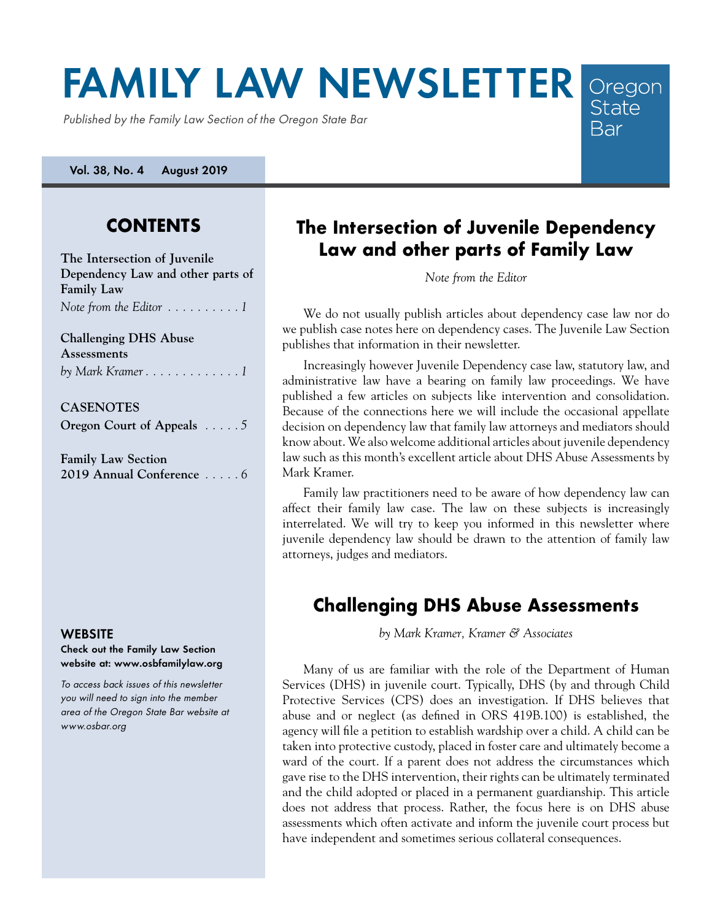### **FAMILY LAW NEWSLETTER** Oregon State

Published by the Family Law Section of the Oregon State Bar

**Vol. 38, No. 4 August 2019**

## **CONTENTS**

| The Intersection of Juvenile<br>Dependency Law and other parts of |  |  |
|-------------------------------------------------------------------|--|--|
| <b>Family Law</b>                                                 |  |  |
| Note from the Editor $\dots \dots \dots 1$                        |  |  |
| <b>Challenging DHS Abuse</b><br>Assessments                       |  |  |
| by Mark Kramer                                                    |  |  |
| <b>CASENOTES</b>                                                  |  |  |
| Oregon Court of Appeals 5                                         |  |  |
|                                                                   |  |  |

**Family Law Section [2019 Annual Conference](#page-5-0)** *. . . . 6*

#### **WEBSITE**

**Check out the Family Law Section website at: [www.osbfamilylaw.org](http://www.osbfamilylaw.org)**

To access back issues of this newsletter you will need to sign into the member area of the Oregon State Bar website at www.osbar.org

# **The Intersection of Juvenile Dependency Law and other parts of Family Law**

Bar

*Note from the Editor*

We do not usually publish articles about dependency case law nor do we publish case notes here on dependency cases. The Juvenile Law Section publishes that information in their newsletter.

Increasingly however Juvenile Dependency case law, statutory law, and administrative law have a bearing on family law proceedings. We have published a few articles on subjects like intervention and consolidation. Because of the connections here we will include the occasional appellate decision on dependency law that family law attorneys and mediators should know about. We also welcome additional articles about juvenile dependency law such as this month's excellent article about DHS Abuse Assessments by Mark Kramer.

Family law practitioners need to be aware of how dependency law can affect their family law case. The law on these subjects is increasingly interrelated. We will try to keep you informed in this newsletter where juvenile dependency law should be drawn to the attention of family law attorneys, judges and mediators.

## **Challenging DHS Abuse Assessments**

*by Mark Kramer, Kramer & Associates*

Many of us are familiar with the role of the Department of Human Services (DHS) in juvenile court. Typically, DHS (by and through Child Protective Services (CPS) does an investigation. If DHS believes that abuse and or neglect (as defined in ORS 419B.100) is established, the agency will file a petition to establish wardship over a child. A child can be taken into protective custody, placed in foster care and ultimately become a ward of the court. If a parent does not address the circumstances which gave rise to the DHS intervention, their rights can be ultimately terminated and the child adopted or placed in a permanent guardianship. This article does not address that process. Rather, the focus here is on DHS abuse assessments which often activate and inform the juvenile court process but have independent and sometimes serious collateral consequences.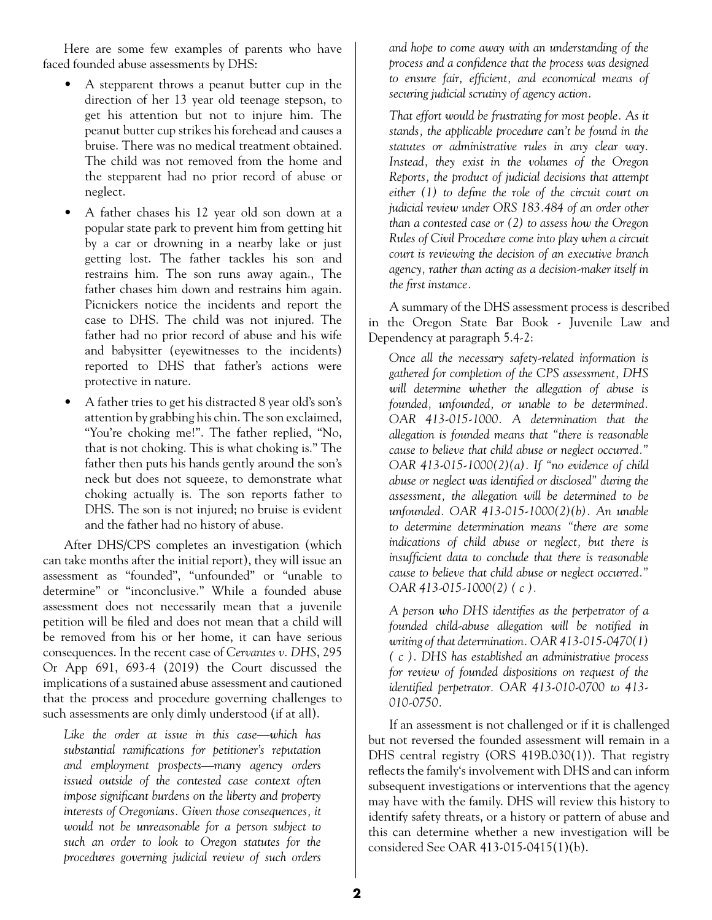Here are some few examples of parents who have faced founded abuse assessments by DHS:

- A stepparent throws a peanut butter cup in the direction of her 13 year old teenage stepson, to get his attention but not to injure him. The peanut butter cup strikes his forehead and causes a bruise. There was no medical treatment obtained. The child was not removed from the home and the stepparent had no prior record of abuse or neglect.
- A father chases his 12 year old son down at a popular state park to prevent him from getting hit by a car or drowning in a nearby lake or just getting lost. The father tackles his son and restrains him. The son runs away again., The father chases him down and restrains him again. Picnickers notice the incidents and report the case to DHS. The child was not injured. The father had no prior record of abuse and his wife and babysitter (eyewitnesses to the incidents) reported to DHS that father's actions were protective in nature.
- A father tries to get his distracted 8 year old's son's attention by grabbing his chin. The son exclaimed, "You're choking me!". The father replied, "No, that is not choking. This is what choking is." The father then puts his hands gently around the son's neck but does not squeeze, to demonstrate what choking actually is. The son reports father to DHS. The son is not injured; no bruise is evident and the father had no history of abuse.

After DHS/CPS completes an investigation (which can take months after the initial report), they will issue an assessment as "founded", "unfounded" or "unable to determine" or "inconclusive." While a founded abuse assessment does not necessarily mean that a juvenile petition will be filed and does not mean that a child will be removed from his or her home, it can have serious consequences. In the recent case of *Cervantes v. DHS*, 295 Or App 691, 693-4 (2019) the Court discussed the implications of a sustained abuse assessment and cautioned that the process and procedure governing challenges to such assessments are only dimly understood (if at all).

*Like the order at issue in this case—which has substantial ramifications for petitioner's reputation and employment prospects—many agency orders issued outside of the contested case context often impose significant burdens on the liberty and property interests of Oregonians. Given those consequences, it would not be unreasonable for a person subject to such an order to look to Oregon statutes for the procedures governing judicial review of such orders*  *and hope to come away with an understanding of the process and a confidence that the process was designed to ensure fair, efficient, and economical means of securing judicial scrutiny of agency action.*

*That effort would be frustrating for most people. As it stands, the applicable procedure can't be found in the statutes or administrative rules in any clear way. Instead, they exist in the volumes of the Oregon Reports, the product of judicial decisions that attempt either (1) to define the role of the circuit court on judicial review under ORS 183.484 of an order other than a contested case or (2) to assess how the Oregon Rules of Civil Procedure come into play when a circuit court is reviewing the decision of an executive branch agency, rather than acting as a decision-maker itself in the first instance.*

A summary of the DHS assessment process is described in the Oregon State Bar Book - Juvenile Law and Dependency at paragraph 5.4-2:

*Once all the necessary safety-related information is gathered for completion of the CPS assessment, DHS will determine whether the allegation of abuse is founded, unfounded, or unable to be determined. OAR 413-015-1000. A determination that the allegation is founded means that "there is reasonable cause to believe that child abuse or neglect occurred." OAR 413-015-1000(2)(a). If "no evidence of child abuse or neglect was identified or disclosed" during the assessment, the allegation will be determined to be unfounded. OAR 413-015-1000(2)(b). An unable to determine determination means "there are some indications of child abuse or neglect, but there is insufficient data to conclude that there is reasonable cause to believe that child abuse or neglect occurred." OAR 413-015-1000(2) ( c ).*

*A person who DHS identifies as the perpetrator of a founded child-abuse allegation will be notified in writing of that determination. OAR 413-015-0470(1) ( c ). DHS has established an administrative process for review of founded dispositions on request of the identified perpetrator. OAR 413-010-0700 to 413- 010-0750.*

If an assessment is not challenged or if it is challenged but not reversed the founded assessment will remain in a DHS central registry (ORS 419B.030(1)). That registry reflects the family's involvement with DHS and can inform subsequent investigations or interventions that the agency may have with the family. DHS will review this history to identify safety threats, or a history or pattern of abuse and this can determine whether a new investigation will be considered See OAR 413-015-0415(1)(b).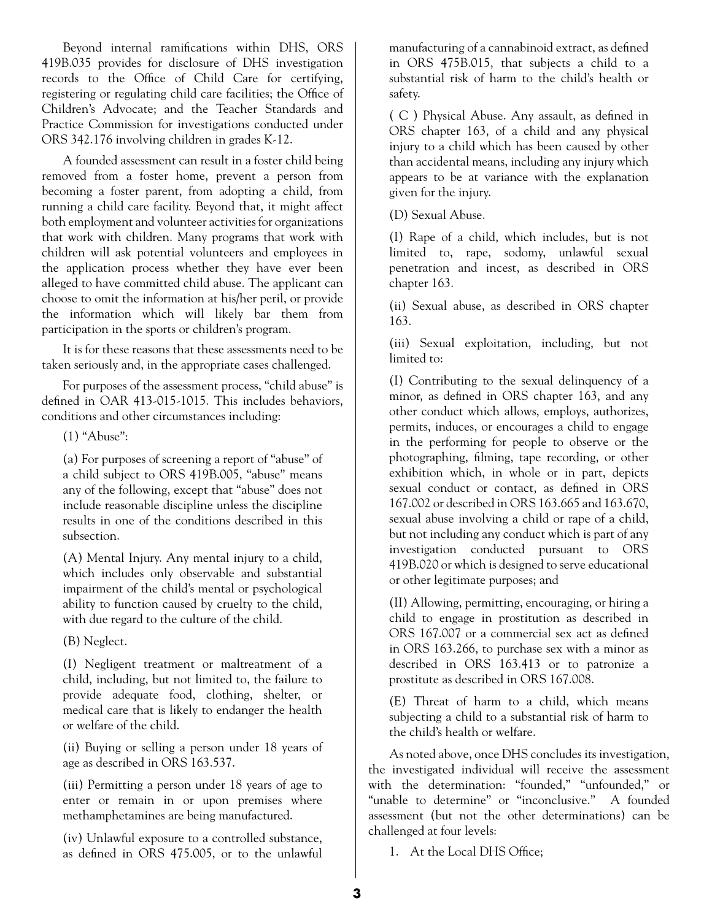Beyond internal ramifications within DHS, ORS 419B.035 provides for disclosure of DHS investigation records to the Office of Child Care for certifying, registering or regulating child care facilities; the Office of Children's Advocate; and the Teacher Standards and Practice Commission for investigations conducted under ORS 342.176 involving children in grades K-12.

A founded assessment can result in a foster child being removed from a foster home, prevent a person from becoming a foster parent, from adopting a child, from running a child care facility. Beyond that, it might affect both employment and volunteer activities for organizations that work with children. Many programs that work with children will ask potential volunteers and employees in the application process whether they have ever been alleged to have committed child abuse. The applicant can choose to omit the information at his/her peril, or provide the information which will likely bar them from participation in the sports or children's program.

It is for these reasons that these assessments need to be taken seriously and, in the appropriate cases challenged.

For purposes of the assessment process, "child abuse" is defined in OAR 413-015-1015. This includes behaviors, conditions and other circumstances including:

(1) "Abuse":

(a) For purposes of screening a report of "abuse" of a child subject to ORS 419B.005, "abuse" means any of the following, except that "abuse" does not include reasonable discipline unless the discipline results in one of the conditions described in this subsection.

(A) Mental Injury. Any mental injury to a child, which includes only observable and substantial impairment of the child's mental or psychological ability to function caused by cruelty to the child, with due regard to the culture of the child.

(B) Neglect.

(I) Negligent treatment or maltreatment of a child, including, but not limited to, the failure to provide adequate food, clothing, shelter, or medical care that is likely to endanger the health or welfare of the child.

(ii) Buying or selling a person under 18 years of age as described in ORS 163.537.

(iii) Permitting a person under 18 years of age to enter or remain in or upon premises where methamphetamines are being manufactured.

(iv) Unlawful exposure to a controlled substance, as defined in ORS 475.005, or to the unlawful

manufacturing of a cannabinoid extract, as defined in ORS 475B.015, that subjects a child to a substantial risk of harm to the child's health or safety.

( C ) Physical Abuse. Any assault, as defined in ORS chapter 163, of a child and any physical injury to a child which has been caused by other than accidental means, including any injury which appears to be at variance with the explanation given for the injury.

(D) Sexual Abuse.

(I) Rape of a child, which includes, but is not limited to, rape, sodomy, unlawful sexual penetration and incest, as described in ORS chapter 163.

(ii) Sexual abuse, as described in ORS chapter 163.

(iii) Sexual exploitation, including, but not limited to:

(I) Contributing to the sexual delinquency of a minor, as defined in ORS chapter 163, and any other conduct which allows, employs, authorizes, permits, induces, or encourages a child to engage in the performing for people to observe or the photographing, filming, tape recording, or other exhibition which, in whole or in part, depicts sexual conduct or contact, as defined in ORS 167.002 or described in ORS 163.665 and 163.670, sexual abuse involving a child or rape of a child, but not including any conduct which is part of any investigation conducted pursuant to ORS 419B.020 or which is designed to serve educational or other legitimate purposes; and

(II) Allowing, permitting, encouraging, or hiring a child to engage in prostitution as described in ORS 167.007 or a commercial sex act as defined in ORS 163.266, to purchase sex with a minor as described in ORS 163.413 or to patronize a prostitute as described in ORS 167.008.

(E) Threat of harm to a child, which means subjecting a child to a substantial risk of harm to the child's health or welfare.

As noted above, once DHS concludes its investigation, the investigated individual will receive the assessment with the determination: "founded," "unfounded," or "unable to determine" or "inconclusive." A founded assessment (but not the other determinations) can be challenged at four levels:

1. At the Local DHS Office;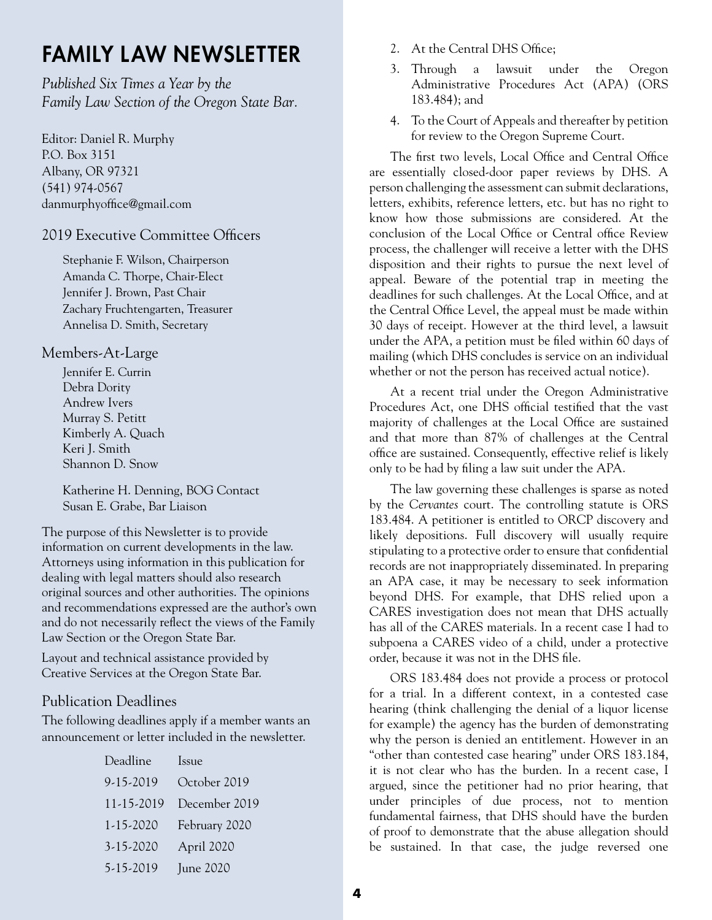# **FAMILY LAW NEWSLETTER**

*Published Six Times a Year by the Family Law Section of the Oregon State Bar.*

Editor: Daniel R. Murphy P.O. Box 3151 Albany, OR 97321 (541) 974-0567 danmurphyoffice@gmail.com

#### 2019 Executive Committee Officers

Stephanie F. Wilson, Chairperson Amanda C. Thorpe, Chair-Elect Jennifer J. Brown, Past Chair Zachary Fruchtengarten, Treasurer Annelisa D. Smith, Secretary

#### Members-At-Large

Jennifer E. Currin Debra Dority Andrew Ivers Murray S. Petitt Kimberly A. Quach Keri J. Smith Shannon D. Snow

Katherine H. Denning, BOG Contact Susan E. Grabe, Bar Liaison

The purpose of this Newsletter is to provide information on current developments in the law. Attorneys using information in this publication for dealing with legal matters should also research original sources and other authorities. The opinions and recommendations expressed are the author's own and do not necessarily reflect the views of the Family Law Section or the Oregon State Bar.

Layout and technical assistance provided by Creative Services at the Oregon State Bar.

### Publication Deadlines

The following deadlines apply if a member wants an announcement or letter included in the newsletter.

| Deadline   | Issue            |
|------------|------------------|
| 9-15-2019  | October 2019     |
| 11-15-2019 | December 2019    |
| 1-15-2020  | February 2020    |
| 3-15-2020  | April 2020       |
| 5-15-2019  | <b>June 2020</b> |

- 2. At the Central DHS Office;
- 3. Through a lawsuit under the Oregon Administrative Procedures Act (APA) (ORS 183.484); and
- 4. To the Court of Appeals and thereafter by petition for review to the Oregon Supreme Court.

The first two levels, Local Office and Central Office are essentially closed-door paper reviews by DHS. A person challenging the assessment can submit declarations, letters, exhibits, reference letters, etc. but has no right to know how those submissions are considered. At the conclusion of the Local Office or Central office Review process, the challenger will receive a letter with the DHS disposition and their rights to pursue the next level of appeal. Beware of the potential trap in meeting the deadlines for such challenges. At the Local Office, and at the Central Office Level, the appeal must be made within 30 days of receipt. However at the third level, a lawsuit under the APA, a petition must be filed within 60 days of mailing (which DHS concludes is service on an individual whether or not the person has received actual notice).

At a recent trial under the Oregon Administrative Procedures Act, one DHS official testified that the vast majority of challenges at the Local Office are sustained and that more than 87% of challenges at the Central office are sustained. Consequently, effective relief is likely only to be had by filing a law suit under the APA.

The law governing these challenges is sparse as noted by the *Cervantes* court. The controlling statute is ORS 183.484. A petitioner is entitled to ORCP discovery and likely depositions. Full discovery will usually require stipulating to a protective order to ensure that confidential records are not inappropriately disseminated. In preparing an APA case, it may be necessary to seek information beyond DHS. For example, that DHS relied upon a CARES investigation does not mean that DHS actually has all of the CARES materials. In a recent case I had to subpoena a CARES video of a child, under a protective order, because it was not in the DHS file.

ORS 183.484 does not provide a process or protocol for a trial. In a different context, in a contested case hearing (think challenging the denial of a liquor license for example) the agency has the burden of demonstrating why the person is denied an entitlement. However in an "other than contested case hearing" under ORS 183.184, it is not clear who has the burden. In a recent case, I argued, since the petitioner had no prior hearing, that under principles of due process, not to mention fundamental fairness, that DHS should have the burden of proof to demonstrate that the abuse allegation should be sustained. In that case, the judge reversed one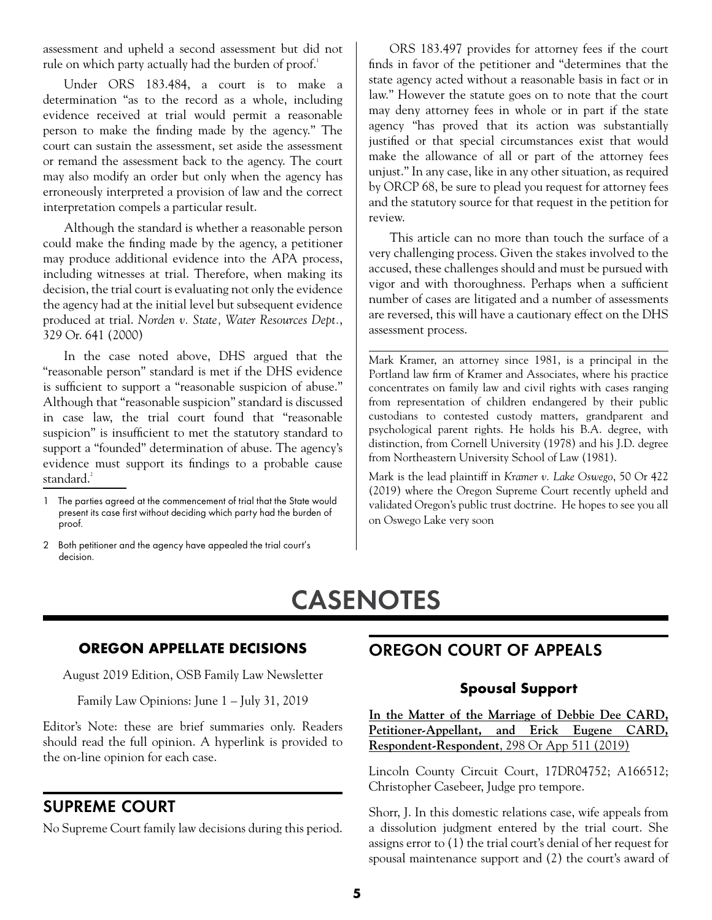<span id="page-4-0"></span>assessment and upheld a second assessment but did not rule on which party actually had the burden of proof.<sup>1</sup>

Under ORS 183.484, a court is to make a determination "as to the record as a whole, including evidence received at trial would permit a reasonable person to make the finding made by the agency." The court can sustain the assessment, set aside the assessment or remand the assessment back to the agency. The court may also modify an order but only when the agency has erroneously interpreted a provision of law and the correct interpretation compels a particular result.

Although the standard is whether a reasonable person could make the finding made by the agency, a petitioner may produce additional evidence into the APA process, including witnesses at trial. Therefore, when making its decision, the trial court is evaluating not only the evidence the agency had at the initial level but subsequent evidence produced at trial. *Norden v. State, Water Resources Dept.*, 329 Or. 641 (2000)

In the case noted above, DHS argued that the "reasonable person" standard is met if the DHS evidence is sufficient to support a "reasonable suspicion of abuse." Although that "reasonable suspicion" standard is discussed in case law, the trial court found that "reasonable suspicion" is insufficient to met the statutory standard to support a "founded" determination of abuse. The agency's evidence must support its findings to a probable cause standard.<sup>2</sup>

- 1 The parties agreed at the commencement of trial that the State would present its case first without deciding which party had the burden of proof.
- 2 Both petitioner and the agency have appealed the trial court's decision.

ORS 183.497 provides for attorney fees if the court finds in favor of the petitioner and "determines that the state agency acted without a reasonable basis in fact or in law." However the statute goes on to note that the court may deny attorney fees in whole or in part if the state agency "has proved that its action was substantially justified or that special circumstances exist that would make the allowance of all or part of the attorney fees unjust." In any case, like in any other situation, as required by ORCP 68, be sure to plead you request for attorney fees and the statutory source for that request in the petition for review.

This article can no more than touch the surface of a very challenging process. Given the stakes involved to the accused, these challenges should and must be pursued with vigor and with thoroughness. Perhaps when a sufficient number of cases are litigated and a number of assessments are reversed, this will have a cautionary effect on the DHS assessment process.

Mark Kramer, an attorney since 1981, is a principal in the Portland law firm of Kramer and Associates, where his practice concentrates on family law and civil rights with cases ranging from representation of children endangered by their public custodians to contested custody matters, grandparent and psychological parent rights. He holds his B.A. degree, with distinction, from Cornell University (1978) and his J.D. degree from Northeastern University School of Law (1981).

Mark is the lead plaintiff in *Kramer v. Lake Oswego*, 50 Or 422 (2019) where the Oregon Supreme Court recently upheld and validated Oregon's public trust doctrine. He hopes to see you all on Oswego Lake very soon

# **CASENOTES**

### **OREGON APPELLATE DECISIONS**

August 2019 Edition, OSB Family Law Newsletter

Family Law Opinions: June 1 – July 31, 2019

Editor's Note: these are brief summaries only. Readers should read the full opinion. A hyperlink is provided to the on-line opinion for each case.

### **SUPREME COURT**

No Supreme Court family law decisions during this period.

### **OREGON COURT OF APPEALS**

### **Spousal Support**

**[In the Matter of the Marriage of Debbie Dee CARD,](https://cdm17027.contentdm.oclc.org/digital/pdf.js/web/viewer.html?file=/digital/api/collection/p17027coll5/id/24358/download#page=1&zoom=auto) [Petitioner-Appellant, and Erick Eugene CARD,](https://cdm17027.contentdm.oclc.org/digital/pdf.js/web/viewer.html?file=/digital/api/collection/p17027coll5/id/24358/download#page=1&zoom=auto) [Respondent-Respondent](https://cdm17027.contentdm.oclc.org/digital/pdf.js/web/viewer.html?file=/digital/api/collection/p17027coll5/id/24358/download#page=1&zoom=auto)**, 298 Or App 511 (2019)

Lincoln County Circuit Court, 17DR04752; A166512; Christopher Casebeer, Judge pro tempore.

Shorr, J. In this domestic relations case, wife appeals from a dissolution judgment entered by the trial court. She assigns error to (1) the trial court's denial of her request for spousal maintenance support and (2) the court's award of